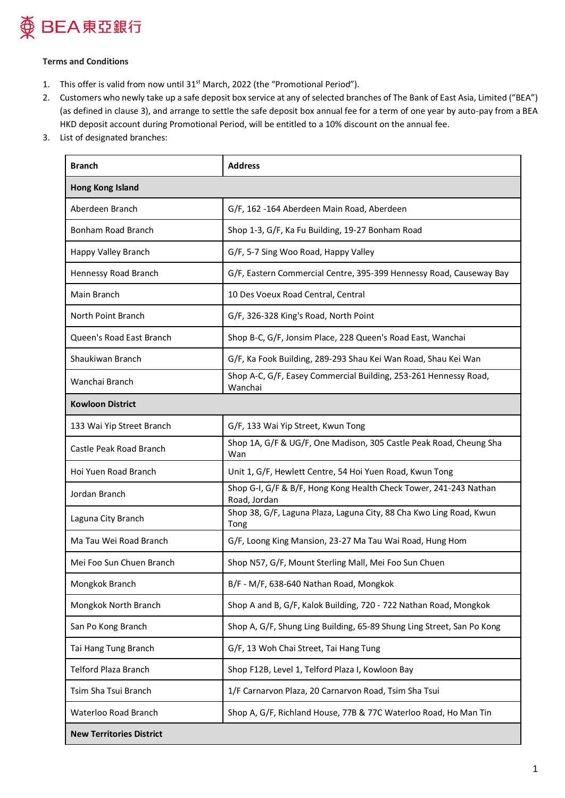

## **Terms and Conditions**

- 1. This offer is valid from now until  $31<sup>st</sup>$  March, 2022 (the "Promotional Period").
- 2. Customers who newly take up a safe deposit box service at any of selected branches of The Bank of East Asia, Limited ("BEA") (as defined in clause 3), and arrange to settle the safe deposit box annual fee for a term of one year by auto-pay from a BEA HKD deposit account during Promotional Period, will be entitled to a 10% discount on the annual fee.
- 3. List of designated branches:

| <b>Branch</b>                   | <b>Address</b>                                                                    |  |  |  |  |
|---------------------------------|-----------------------------------------------------------------------------------|--|--|--|--|
| <b>Hong Kong Island</b>         |                                                                                   |  |  |  |  |
| Aberdeen Branch                 | G/F, 162 -164 Aberdeen Main Road, Aberdeen                                        |  |  |  |  |
| Bonham Road Branch              | Shop 1-3, G/F, Ka Fu Building, 19-27 Bonham Road                                  |  |  |  |  |
| Happy Valley Branch             | G/F, 5-7 Sing Woo Road, Happy Valley                                              |  |  |  |  |
| Hennessy Road Branch            | G/F, Eastern Commercial Centre, 395-399 Hennessy Road, Causeway Bay               |  |  |  |  |
| Main Branch                     | 10 Des Voeux Road Central, Central                                                |  |  |  |  |
| North Point Branch              | G/F, 326-328 King's Road, North Point                                             |  |  |  |  |
| Queen's Road East Branch        | Shop B-C, G/F, Jonsim Place, 228 Queen's Road East, Wanchai                       |  |  |  |  |
| Shaukiwan Branch                | G/F, Ka Fook Building, 289-293 Shau Kei Wan Road, Shau Kei Wan                    |  |  |  |  |
| Wanchai Branch                  | Shop A-C, G/F, Easey Commercial Building, 253-261 Hennessy Road,<br>Wanchai       |  |  |  |  |
| <b>Kowloon District</b>         |                                                                                   |  |  |  |  |
| 133 Wai Yip Street Branch       | G/F, 133 Wai Yip Street, Kwun Tong                                                |  |  |  |  |
| Castle Peak Road Branch         | Shop 1A, G/F & UG/F, One Madison, 305 Castle Peak Road, Cheung Sha<br>Wan         |  |  |  |  |
| Hoi Yuen Road Branch            | Unit 1, G/F, Hewlett Centre, 54 Hoi Yuen Road, Kwun Tong                          |  |  |  |  |
| Jordan Branch                   | Shop G-I, G/F & B/F, Hong Kong Health Check Tower, 241-243 Nathan<br>Road, Jordan |  |  |  |  |
| Laguna City Branch              | Shop 38, G/F, Laguna Plaza, Laguna City, 88 Cha Kwo Ling Road, Kwun<br>Tong       |  |  |  |  |
| Ma Tau Wei Road Branch          | G/F, Loong King Mansion, 23-27 Ma Tau Wai Road, Hung Hom                          |  |  |  |  |
| Mei Foo Sun Chuen Branch        | Shop N57, G/F, Mount Sterling Mall, Mei Foo Sun Chuen                             |  |  |  |  |
| Mongkok Branch                  | B/F - M/F, 638-640 Nathan Road, Mongkok                                           |  |  |  |  |
| Mongkok North Branch            | Shop A and B, G/F, Kalok Building, 720 - 722 Nathan Road, Mongkok                 |  |  |  |  |
| San Po Kong Branch              | Shop A, G/F, Shung Ling Building, 65-89 Shung Ling Street, San Po Kong            |  |  |  |  |
| Tai Hang Tung Branch            | G/F, 13 Woh Chai Street, Tai Hang Tung                                            |  |  |  |  |
| <b>Telford Plaza Branch</b>     | Shop F12B, Level 1, Telford Plaza I, Kowloon Bay                                  |  |  |  |  |
| Tsim Sha Tsui Branch            | 1/F Carnarvon Plaza, 20 Carnarvon Road, Tsim Sha Tsui                             |  |  |  |  |
| Waterloo Road Branch            | Shop A, G/F, Richland House, 77B & 77C Waterloo Road, Ho Man Tin                  |  |  |  |  |
| <b>New Territories District</b> |                                                                                   |  |  |  |  |